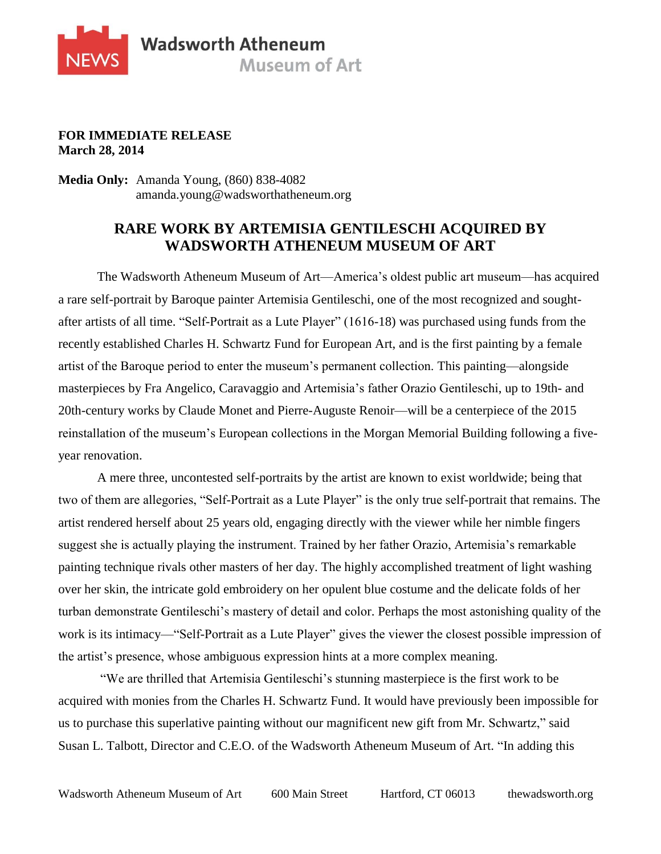

## **FOR IMMEDIATE RELEASE March 28, 2014**

**Media Only:** Amanda Young, (860) 838-4082 amanda.young@wadsworthatheneum.org

## **RARE WORK BY ARTEMISIA GENTILESCHI ACQUIRED BY WADSWORTH ATHENEUM MUSEUM OF ART**

The Wadsworth Atheneum Museum of Art—America's oldest public art museum—has acquired a rare self-portrait by Baroque painter Artemisia Gentileschi, one of the most recognized and soughtafter artists of all time. "Self-Portrait as a Lute Player" (1616-18) was purchased using funds from the recently established Charles H. Schwartz Fund for European Art, and is the first painting by a female artist of the Baroque period to enter the museum's permanent collection. This painting—alongside masterpieces by Fra Angelico, Caravaggio and Artemisia's father Orazio Gentileschi, up to 19th- and 20th-century works by Claude Monet and Pierre-Auguste Renoir—will be a centerpiece of the 2015 reinstallation of the museum's European collections in the Morgan Memorial Building following a fiveyear renovation.

A mere three, uncontested self-portraits by the artist are known to exist worldwide; being that two of them are allegories, "Self-Portrait as a Lute Player" is the only true self-portrait that remains. The artist rendered herself about 25 years old, engaging directly with the viewer while her nimble fingers suggest she is actually playing the instrument. Trained by her father Orazio, Artemisia's remarkable painting technique rivals other masters of her day. The highly accomplished treatment of light washing over her skin, the intricate gold embroidery on her opulent blue costume and the delicate folds of her turban demonstrate Gentileschi's mastery of detail and color. Perhaps the most astonishing quality of the work is its intimacy—"Self-Portrait as a Lute Player" gives the viewer the closest possible impression of the artist's presence, whose ambiguous expression hints at a more complex meaning.

"We are thrilled that Artemisia Gentileschi's stunning masterpiece is the first work to be acquired with monies from the Charles H. Schwartz Fund. It would have previously been impossible for us to purchase this superlative painting without our magnificent new gift from Mr. Schwartz," said Susan L. Talbott, Director and C.E.O. of the Wadsworth Atheneum Museum of Art. "In adding this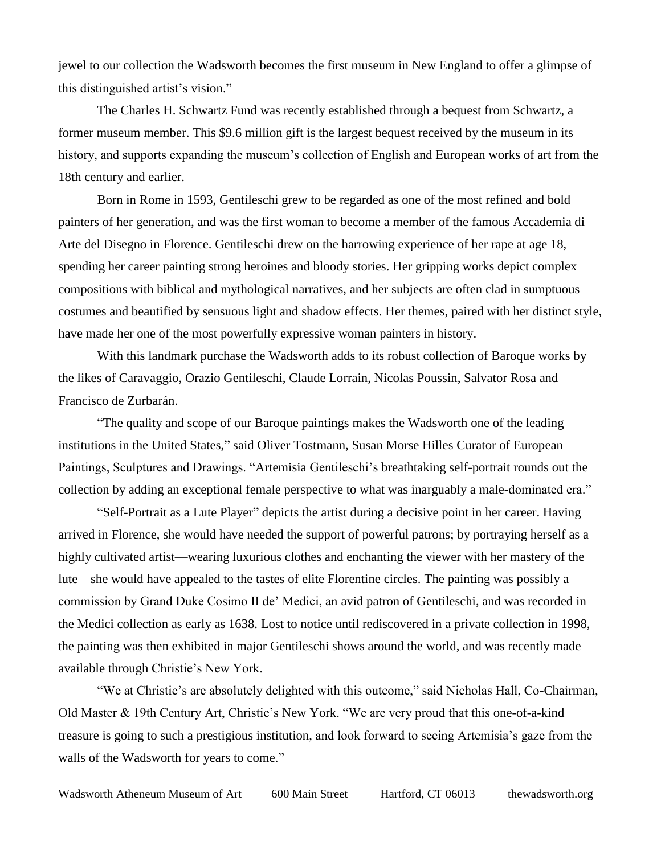jewel to our collection the Wadsworth becomes the first museum in New England to offer a glimpse of this distinguished artist's vision."

The Charles H. Schwartz Fund was recently established through a bequest from Schwartz, a former museum member. This \$9.6 million gift is the largest bequest received by the museum in its history, and supports expanding the museum's collection of English and European works of art from the 18th century and earlier.

Born in Rome in 1593, Gentileschi grew to be regarded as one of the most refined and bold painters of her generation, and was the first woman to become a member of the famous Accademia di Arte del Disegno in Florence. Gentileschi drew on the harrowing experience of her rape at age 18, spending her career painting strong heroines and bloody stories. Her gripping works depict complex compositions with biblical and mythological narratives, and her subjects are often clad in sumptuous costumes and beautified by sensuous light and shadow effects. Her themes, paired with her distinct style, have made her one of the most powerfully expressive woman painters in history.

With this landmark purchase the Wadsworth adds to its robust collection of Baroque works by the likes of Caravaggio, Orazio Gentileschi, Claude Lorrain, Nicolas Poussin, Salvator Rosa and Francisco de Zurbarán.

"The quality and scope of our Baroque paintings makes the Wadsworth one of the leading institutions in the United States," said Oliver Tostmann, Susan Morse Hilles Curator of European Paintings, Sculptures and Drawings. "Artemisia Gentileschi's breathtaking self-portrait rounds out the collection by adding an exceptional female perspective to what was inarguably a male-dominated era."

"Self-Portrait as a Lute Player" depicts the artist during a decisive point in her career. Having arrived in Florence, she would have needed the support of powerful patrons; by portraying herself as a highly cultivated artist—wearing luxurious clothes and enchanting the viewer with her mastery of the lute—she would have appealed to the tastes of elite Florentine circles. The painting was possibly a commission by Grand Duke Cosimo II de' Medici, an avid patron of Gentileschi, and was recorded in the Medici collection as early as 1638. Lost to notice until rediscovered in a private collection in 1998, the painting was then exhibited in major Gentileschi shows around the world, and was recently made available through Christie's New York.

"We at Christie's are absolutely delighted with this outcome," said Nicholas Hall, Co-Chairman, Old Master & 19th Century Art, Christie's New York. "We are very proud that this one-of-a-kind treasure is going to such a prestigious institution, and look forward to seeing Artemisia's gaze from the walls of the Wadsworth for years to come."